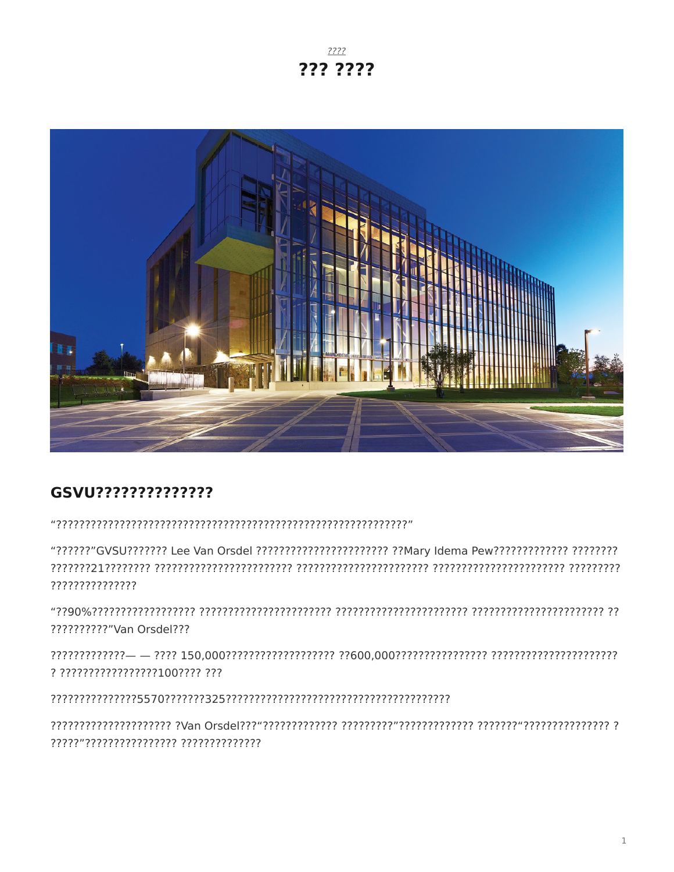$7777$ ??? ????



# GSVU??????????????

???????????????

??????????"Van Orsdel???

? ?????????????????100???? ???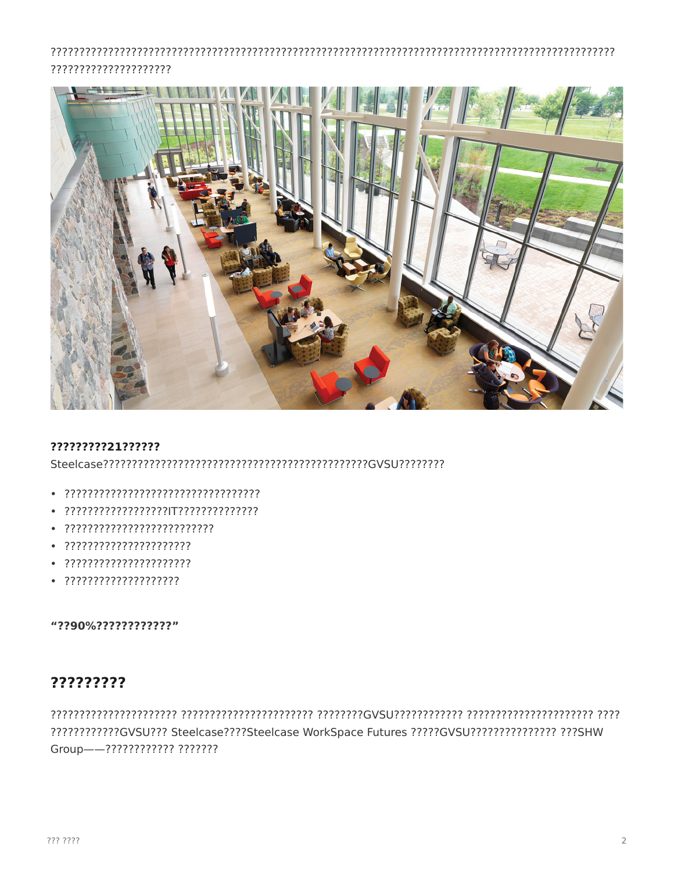## ?????????????????????



#### ?????????21??????

- 
- 
- 
- 
- 
- 

#### "??90%?????????????"

## ?????????

?????????????GVSU??? Steelcase????Steelcase WorkSpace Futures ?????GVSU??????????????? ???SHW Group--7??????????? ???????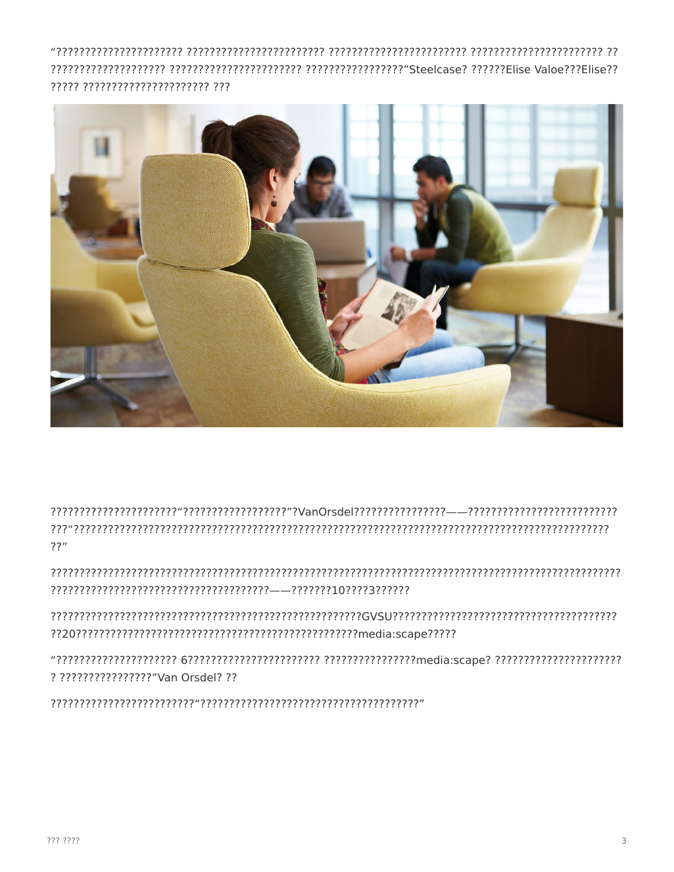????? ?????????????????????? ???



 $77"$ 

? ?????????????????"Van Orsdel? ??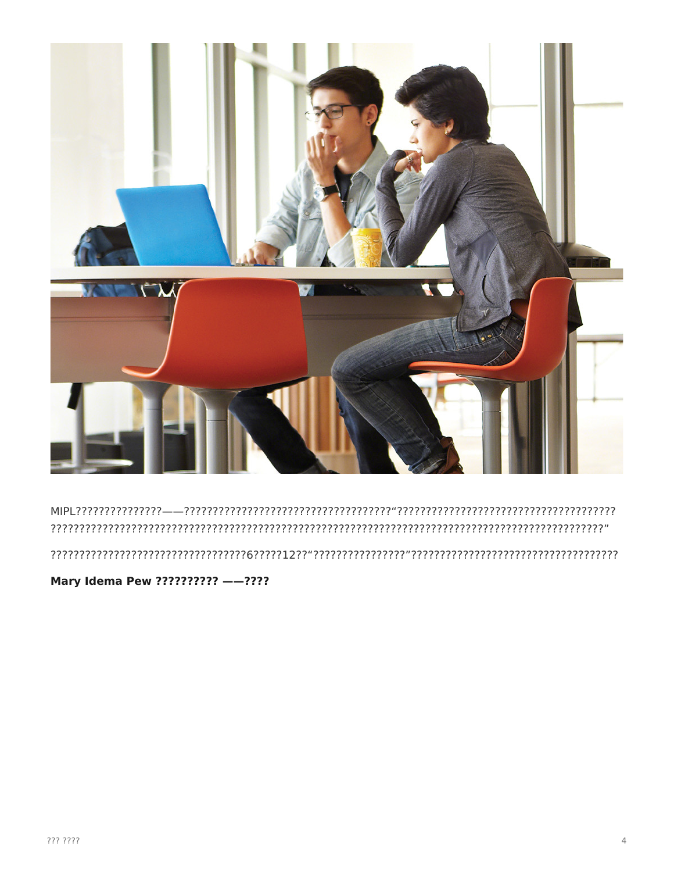![](_page_3_Picture_0.jpeg)

## 

Mary Idema Pew ?????????? --????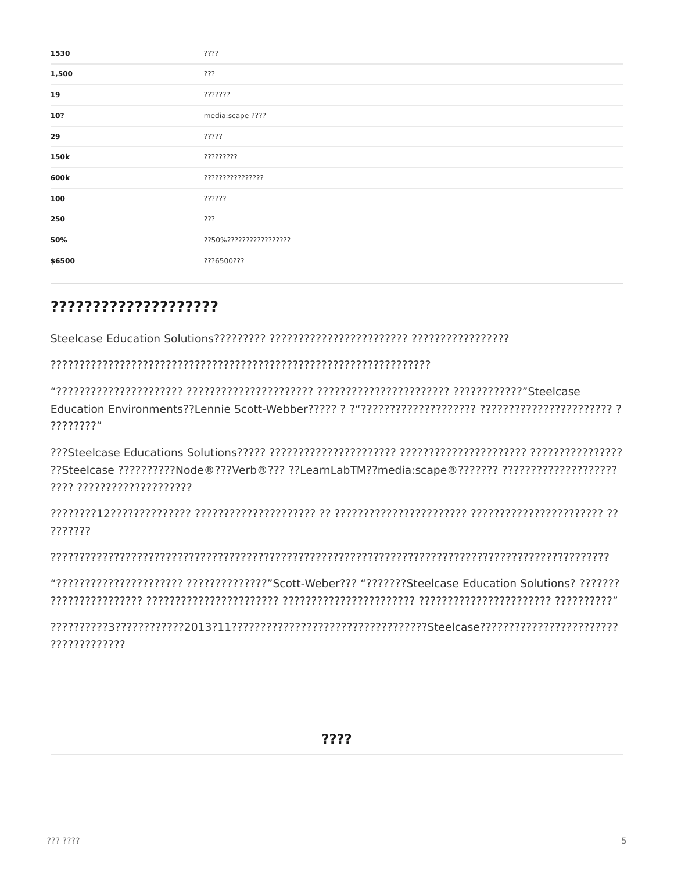| 1530   | ????                    |
|--------|-------------------------|
| 1,500  | ???                     |
| 19     | ???????                 |
| 10?    | media:scape ????        |
| 29     | ?????                   |
| 150k   | ?????????               |
| 600k   | ????????????????        |
| 100    | ??????                  |
| 250    | ???                     |
| 50%    | ??50%?????????????????? |
| \$6500 | ???6500???              |

## ????????????????????

????????"

??Steelcase ?????????Node®???Verb®??? ??LearnLabTM??media:scape®??????? ???????????????????????????? ???? ????????????????????

???????

?????????????